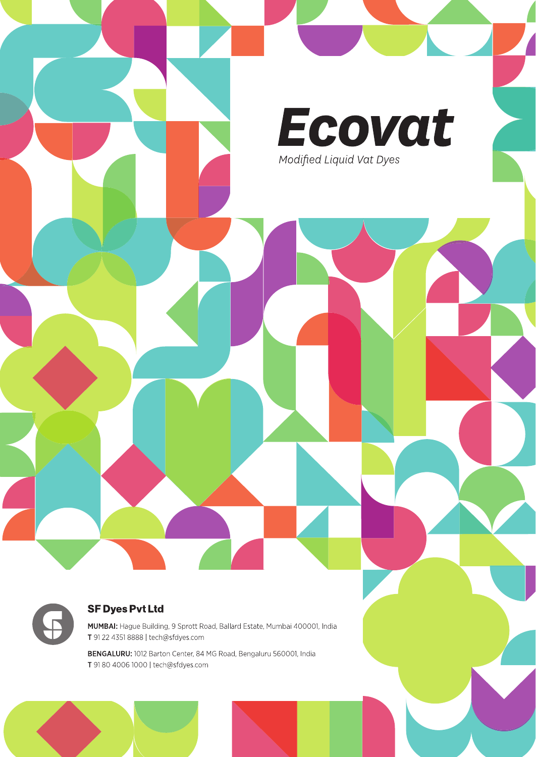

#### **SF Dyes Pvt Ltd**

MUMBAI: Hague Building, 9 Sprott Road, Ballard Estate, Mumbai 400001, India T 91 22 4351 8888 | tech@sfdyes.com

BENGALURU: 1012 Barton Center, 84 MG Road, Bengaluru 560001, India T 91 80 4006 1000 | tech@sfdyes.com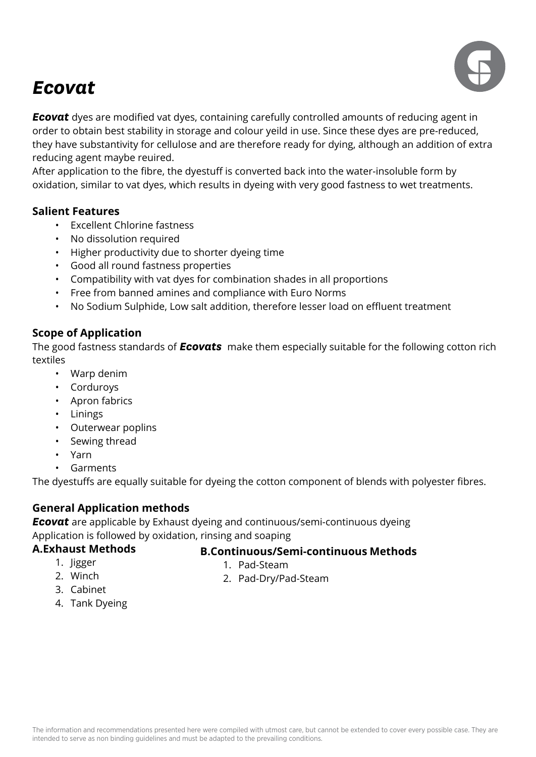

### *Ecovat*

**Ecovat** dyes are modified vat dyes, containing carefully controlled amounts of reducing agent in order to obtain best stability in storage and colour yeild in use. Since these dyes are pre-reduced, they have substantivity for cellulose and are therefore ready for dying, although an addition of extra reducing agent maybe reuired.

After application to the fibre, the dyestuff is converted back into the water-insoluble form by oxidation, similar to vat dyes, which results in dyeing with very good fastness to wet treatments.

#### **Salient Features**

- Excellent Chlorine fastness
- No dissolution required
- Higher productivity due to shorter dyeing time
- Good all round fastness properties
- Compatibility with vat dyes for combination shades in all proportions
- Free from banned amines and compliance with Euro Norms
- No Sodium Sulphide, Low salt addition, therefore lesser load on effluent treatment

#### **Scope of Application**

The good fastness standards of *Ecovats* make them especially suitable for the following cotton rich textiles

- Warp denim
- Corduroys
- Apron fabrics
- Linings
- Outerwear poplins
- Sewing thread
- Yarn
- **Garments**

The dyestuffs are equally suitable for dyeing the cotton component of blends with polyester fibres.

#### **General Application methods**

**Ecovat** are applicable by Exhaust dyeing and continuous/semi-continuous dyeing Application is followed by oxidation, rinsing and soaping

#### **A.Exhaust Methods**

#### **B.Continuous/Semi-continuous Methods**

1. Jigger 2. Winch

1. Pad-Steam

2. Pad-Dry/Pad-Steam

- 3. Cabinet
- 4. Tank Dyeing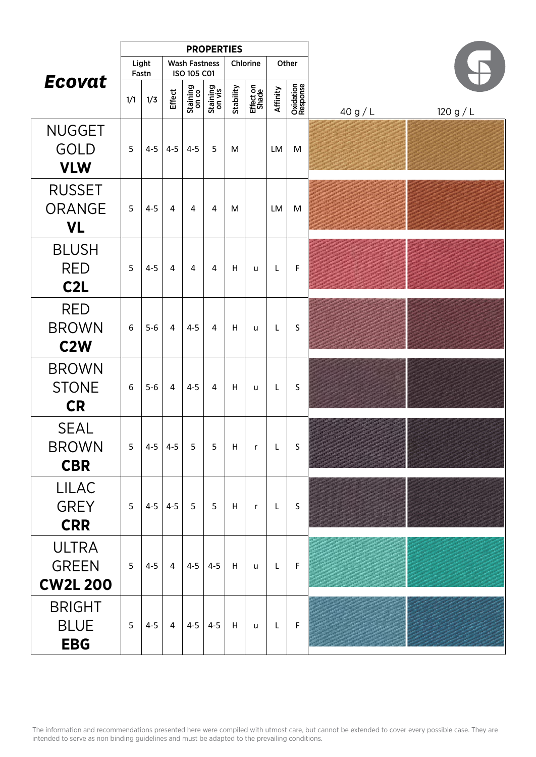|                                                 | <b>PROPERTIES</b> |                |                |                                     |                    |           |                    |              |                       |        |           |
|-------------------------------------------------|-------------------|----------------|----------------|-------------------------------------|--------------------|-----------|--------------------|--------------|-----------------------|--------|-----------|
|                                                 |                   | Light<br>Fastn |                | <b>Wash Fastness</b><br>ISO 105 C01 |                    |           | Chlorine           |              | Other                 |        |           |
| Ecovat                                          | 1/1               | 1/3            | Effect         | Staining<br>on co                   | Staining<br>on vis | Stability | Effect on<br>Shade | Affinity     | Oxidation<br>Response | 40 g/L | 120 g / L |
| <b>NUGGET</b><br><b>GOLD</b><br><b>VLW</b>      | 5                 | $4 - 5$        | $4 - 5$        | $4 - 5$                             | 5                  | M         |                    | LM           | M                     |        |           |
| <b>RUSSET</b><br><b>ORANGE</b><br><b>VL</b>     | 5                 | $4 - 5$        | $\overline{4}$ | 4                                   | 4                  | M         |                    | LM           | M                     |        |           |
| <b>BLUSH</b><br><b>RED</b><br>C <sub>2</sub> L  | 5                 | $4 - 5$        | 4              | 4                                   | 4                  | н         | u                  | L            | F                     |        |           |
| <b>RED</b><br><b>BROWN</b><br>C <sub>2</sub> W  | 6                 | $5-6$          | 4              | $4 - 5$                             | 4                  | н         | u                  | L            | S                     |        |           |
| <b>BROWN</b><br><b>STONE</b><br><b>CR</b>       | 6                 | $5-6$          | 4              | $4 - 5$                             | 4                  | н         | u                  | L            | S                     |        |           |
| <b>SEAL</b><br><b>BROWN</b><br><b>CBR</b>       | 5                 |                | $4-5$ 4-5      | 5                                   | 5                  | H         | $\mathsf{r}$       | L            | S                     |        |           |
| <b>LILAC</b><br><b>GREY</b><br><b>CRR</b>       | 5                 |                | $4-5$ 4-5      | 5                                   | 5 <sub>1</sub>     | H         | $\mathsf{r}$       | L,           | $\mathsf S$           |        |           |
| <b>ULTRA</b><br><b>GREEN</b><br><b>CW2L 200</b> | 5                 | $4 - 5$        | $\overline{4}$ | $ 4-5 4-5$                          |                    | H         | <b>u</b>           | $\mathsf{L}$ | $\mathsf F$           |        |           |
| <b>BRIGHT</b><br><b>BLUE</b><br><b>EBG</b>      | 5                 | $4 - 5$        | $\overline{4}$ | $4-5$                               | $4 - 5$            | H         | $\mathsf{u}$       | $\mathsf{L}$ | $\mathsf F$           |        |           |

The information and recommendations presented here were compiled with utmost care, but cannot be extended to cover every possible case. They are intended to serve as non binding guidelines and must be adapted to the prevailing conditions.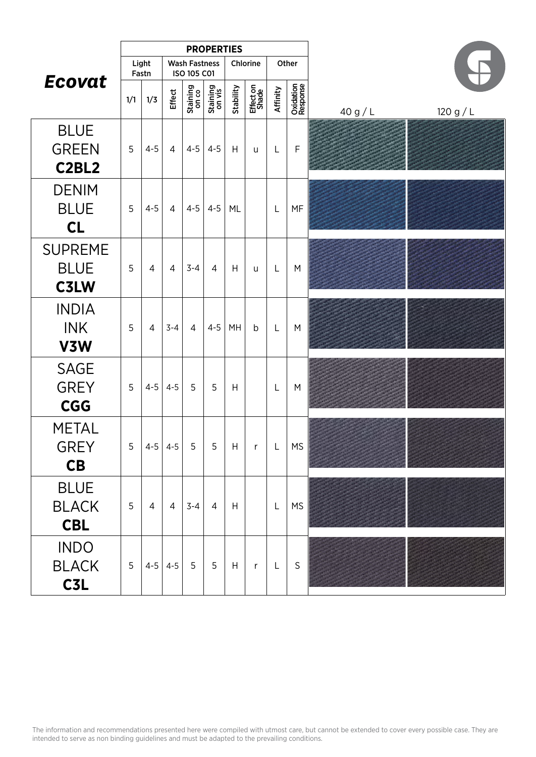|                                                               | <b>PROPERTIES</b> |                |                |                                     |                    |           |                    |              |                       |        |           |
|---------------------------------------------------------------|-------------------|----------------|----------------|-------------------------------------|--------------------|-----------|--------------------|--------------|-----------------------|--------|-----------|
|                                                               |                   | Light<br>Fastn |                | <b>Wash Fastness</b><br>ISO 105 C01 |                    |           | Chlorine           |              | Other                 |        |           |
| Ecovat                                                        | 1/1               | 1/3            | Effect         | Staining<br>on co                   | Staining<br>on vis | Stability | Effect on<br>Shade | Affinity     | Oxidation<br>Response | 40 g/L | 120 g / L |
| <b>BLUE</b><br><b>GREEN</b><br>C <sub>2</sub> BL <sub>2</sub> | 5                 | $4 - 5$        | $\overline{4}$ | $4 - 5$                             | $4 - 5$            | H         | u                  | L            | $\mathsf F$           |        |           |
| <b>DENIM</b><br><b>BLUE</b><br>CL                             | 5                 | $4 - 5$        | $\overline{4}$ | $4 - 5$                             | $4 - 5$            | ML        |                    | L            | MF                    |        |           |
| <b>SUPREME</b><br><b>BLUE</b><br>C3LW                         | 5                 | $\overline{4}$ | $\overline{4}$ | $3 - 4$                             | $\overline{4}$     | Н         | u                  | L            | M                     |        |           |
| <b>INDIA</b><br><b>INK</b><br>V3W                             | 5                 | $\overline{4}$ | $3 - 4$        | $\overline{4}$                      | $4 - 5$            | MH        | b                  | L            | M                     |        |           |
| <b>SAGE</b><br><b>GREY</b><br><b>CGG</b>                      | 5                 | $4 - 5$        | $4 - 5$        | 5                                   | 5                  | Η         |                    | L            | M                     |        |           |
| <b>METAL</b><br><b>GREY</b><br>CB                             | 5                 |                | $4-5$ 4-5      | 5                                   | 5                  | Н         | $\mathsf{r}$       | L            | <b>MS</b>             |        |           |
| <b>BLUE</b><br><b>BLACK</b><br><b>CBL</b>                     | 5                 | $\overline{4}$ | $\overline{4}$ | $3 - 4$                             | $\overline{4}$     | H         |                    | L            | <b>MS</b>             |        |           |
| <b>INDO</b><br><b>BLACK</b><br>C <sub>3</sub> L               | 5                 |                | $4 - 5$ 4-5    | 5                                   | 5                  | H         | $\mathsf{r}$       | $\mathsf{L}$ | $\mathsf S$           |        |           |

The information and recommendations presented here were compiled with utmost care, but cannot be extended to cover every possible case. They are intended to serve as non binding guidelines and must be adapted to the prevailing conditions.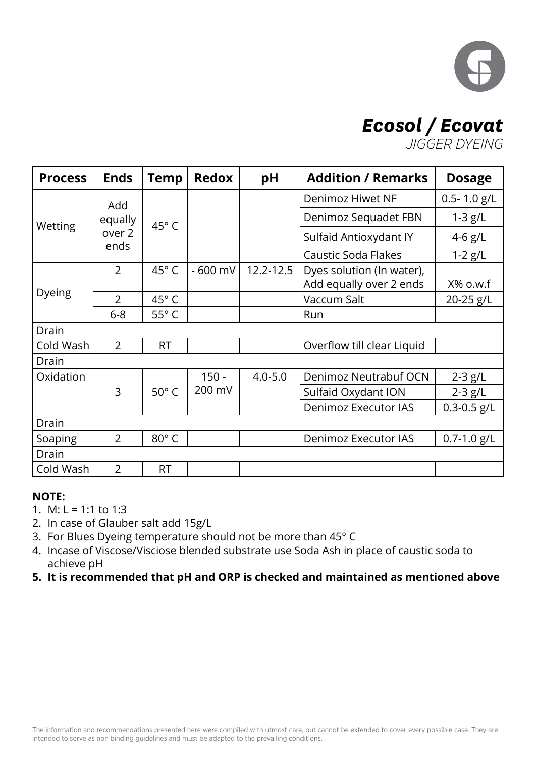

## *Ecosol / Ecovat*

*JIGGER DYEING*

| <b>Process</b> | <b>Ends</b>    | <b>Temp</b>    | <b>Redox</b> | pH            | <b>Addition / Remarks</b>                            | <b>Dosage</b>   |
|----------------|----------------|----------------|--------------|---------------|------------------------------------------------------|-----------------|
|                | Add            |                |              |               | Denimoz Hiwet NF                                     | $0.5 - 1.0$ g/L |
| Wetting        | equally        | 45°C           |              |               | Denimoz Sequadet FBN                                 | $1-3$ g/L       |
|                | over 2<br>ends |                |              |               | Sulfaid Antioxydant IY                               | 4-6 $g/L$       |
|                |                |                |              |               | <b>Caustic Soda Flakes</b>                           | $1-2$ g/L       |
|                | $\overline{2}$ | 45°C           | - 600 mV     | $12.2 - 12.5$ | Dyes solution (In water),<br>Add equally over 2 ends | $X\%$ o.w.f     |
| Dyeing         | $\overline{2}$ | 45°C           |              |               | Vaccum Salt                                          | 20-25 g/L       |
|                | $6 - 8$        | 55°C           |              |               | Run                                                  |                 |
| Drain          |                |                |              |               |                                                      |                 |
| Cold Wash      | $\overline{2}$ | <b>RT</b>      |              |               | Overflow till clear Liquid                           |                 |
| Drain          |                |                |              |               |                                                      |                 |
| Oxidation      |                |                | $150 -$      | $4.0 - 5.0$   | Denimoz Neutrabuf OCN                                | $2-3$ g/L       |
|                | 3              | $50^{\circ}$ C | 200 mV       |               | Sulfaid Oxydant ION                                  | $2-3$ g/L       |
|                |                |                |              |               | <b>Denimoz Executor IAS</b>                          | $0.3 - 0.5$ g/L |
| Drain          |                |                |              |               |                                                      |                 |
| Soaping        | $\overline{2}$ | $80^\circ$ C   |              |               | Denimoz Executor IAS                                 | $0.7 - 1.0$ g/L |
| Drain          |                |                |              |               |                                                      |                 |
| Cold Wash      | $\overline{2}$ | <b>RT</b>      |              |               |                                                      |                 |

#### **NOTE:**

1. M:  $L = 1:1$  to 1:3

- 2. In case of Glauber salt add 15g/L
- 3. For Blues Dyeing temperature should not be more than 45° C
- 4. Incase of Viscose/Visciose blended substrate use Soda Ash in place of caustic soda to achieve pH
- **5. It is recommended that pH and ORP is checked and maintained as mentioned above**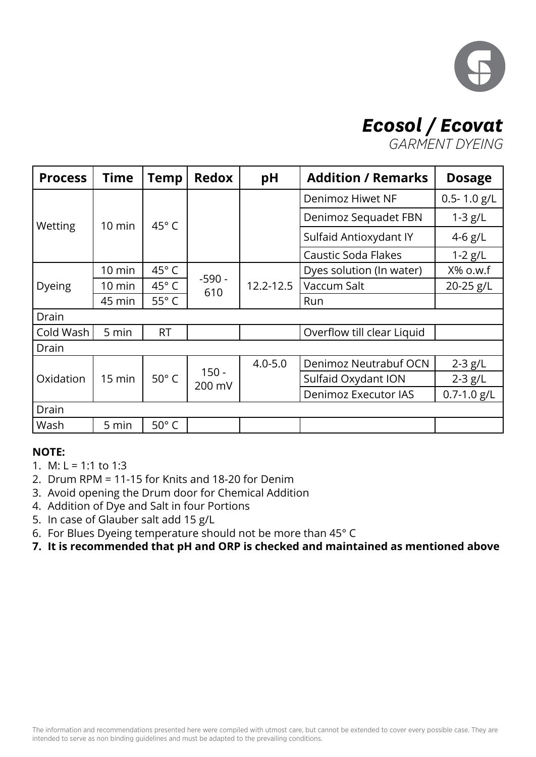

# *Ecosol / Ecovat*

*GARMENT DYEING*

| <b>Process</b> | <b>Time</b>      | <b>Temp</b>    | <b>Redox</b>      | pH            | <b>Addition / Remarks</b>                      | <b>Dosage</b>   |
|----------------|------------------|----------------|-------------------|---------------|------------------------------------------------|-----------------|
|                |                  |                |                   |               | Denimoz Hiwet NF                               | $0.5 - 1.0$ g/L |
| Wetting        | $10 \text{ min}$ | $45^\circ$ C   |                   |               | Denimoz Sequadet FBN                           | $1-3$ g/L       |
|                |                  |                |                   |               | Sulfaid Antioxydant IY                         | 4-6 $g/L$       |
|                |                  |                |                   |               | <b>Caustic Soda Flakes</b>                     | $1-2$ g/L       |
|                | $10 \text{ min}$ | 45° C          |                   |               | Dyes solution (In water)                       | X% o.w.f        |
| Dyeing         | 10 min           | 45° C          | $-590 -$<br>610   | $12.2 - 12.5$ | Vaccum Salt                                    | 20-25 g/L       |
|                | 45 min           | $55^{\circ}$ C |                   |               | Run                                            |                 |
| <b>Drain</b>   |                  |                |                   |               |                                                |                 |
| Cold Wash      | 5 min            | <b>RT</b>      |                   |               | Overflow till clear Liquid                     |                 |
| Drain          |                  |                |                   |               |                                                |                 |
|                |                  |                |                   | $4.0 - 5.0$   | Denimoz Neutrabuf OCN                          | $2-3$ g/L       |
| Oxidation      | 15 min           | $50^{\circ}$ C | $150 -$<br>200 mV |               | Sulfaid Oxydant ION                            | $2-3$ g/L       |
|                |                  |                |                   |               | $0.7 - 1.0$ g/L<br><b>Denimoz Executor IAS</b> |                 |
| Drain          |                  |                |                   |               |                                                |                 |
| Wash           | 5 min            | $50^\circ$ C   |                   |               |                                                |                 |

#### **NOTE:**

- 1. M:  $L = 1:1$  to 1:3
- 2. Drum RPM = 11-15 for Knits and 18-20 for Denim
- 3. Avoid opening the Drum door for Chemical Addition
- 4. Addition of Dye and Salt in four Portions
- 5. In case of Glauber salt add 15 g/L
- 6. For Blues Dyeing temperature should not be more than 45° C
- **7. It is recommended that pH and ORP is checked and maintained as mentioned above**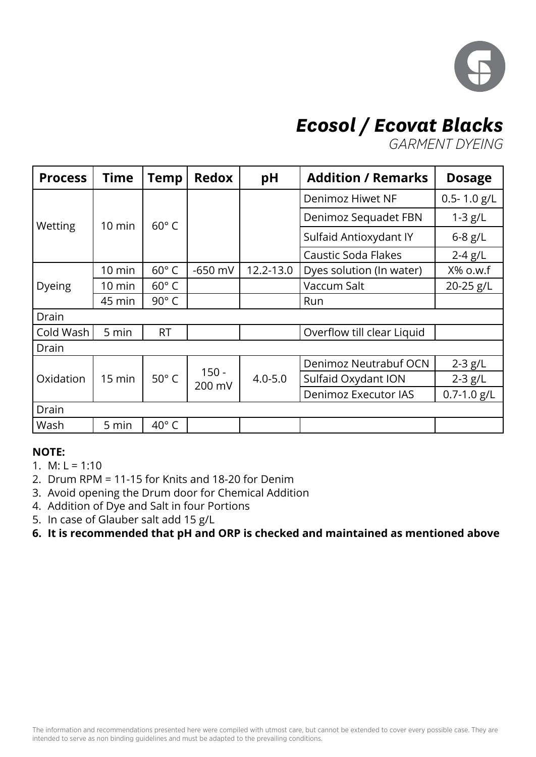

## *Ecosol / Ecovat Blacks*

*GARMENT DYEING*

| <b>Process</b> | <b>Time</b>      | <b>Temp</b>    | <b>Redox</b> | pH                             | <b>Addition / Remarks</b>  | <b>Dosage</b>   |
|----------------|------------------|----------------|--------------|--------------------------------|----------------------------|-----------------|
|                |                  |                |              |                                | Denimoz Hiwet NF           | $0.5 - 1.0$ g/L |
| Wetting        | $10 \text{ min}$ | $60^\circ$ C   |              |                                | Denimoz Sequadet FBN       | $1-3$ g/L       |
|                |                  |                |              |                                | Sulfaid Antioxydant IY     | $6-8$ g/L       |
|                |                  |                |              |                                | Caustic Soda Flakes        | $2-4$ g/L       |
|                | $10 \text{ min}$ | $60^{\circ}$ C | $-650$ mV    | 12.2-13.0                      | Dyes solution (In water)   | X% o.w.f        |
| <b>Dyeing</b>  | 10 min           | $60^{\circ}$ C |              |                                | Vaccum Salt                | 20-25 g/L       |
|                | 45 min           | 90° C          |              |                                | Run                        |                 |
| Drain          |                  |                |              |                                |                            |                 |
| Cold Wash      | 5 min            | <b>RT</b>      |              |                                | Overflow till clear Liquid |                 |
| Drain          |                  |                |              |                                |                            |                 |
|                |                  |                |              |                                | Denimoz Neutrabuf OCN      | $2-3$ g/L       |
| Oxidation      | $15 \text{ min}$ | $50^{\circ}$ C | $150 -$      | $4.0 - 5.0$                    | Sulfaid Oxydant ION        | $2-3$ g/L       |
|                |                  |                |              | 200 mV<br>Denimoz Executor IAS |                            | $0.7 - 1.0$ g/L |
| Drain          |                  |                |              |                                |                            |                 |
| Wash           | 5 min            | 40°C           |              |                                |                            |                 |

#### **NOTE:**

- 1. M:  $L = 1:10$
- 2. Drum RPM = 11-15 for Knits and 18-20 for Denim
- 3. Avoid opening the Drum door for Chemical Addition
- 4. Addition of Dye and Salt in four Portions
- 5. In case of Glauber salt add 15 g/L
- **6. It is recommended that pH and ORP is checked and maintained as mentioned above**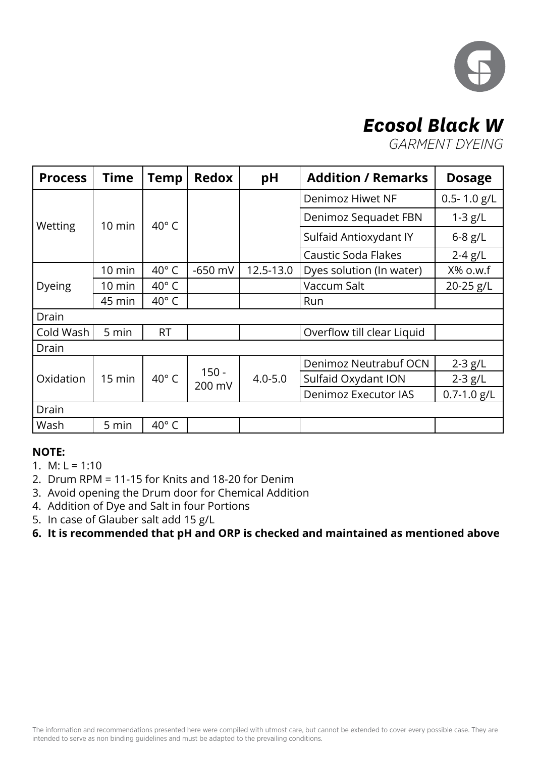

### *Ecosol Black W*

*GARMENT DYEING*

| <b>Process</b>   | <b>Time</b>      | <b>Temp</b>    | <b>Redox</b>      | pH                   | <b>Addition / Remarks</b>  | <b>Dosage</b>   |
|------------------|------------------|----------------|-------------------|----------------------|----------------------------|-----------------|
|                  |                  |                |                   |                      | Denimoz Hiwet NF           | $0.5 - 1.0$ g/L |
| Wetting          | $10 \text{ min}$ | $40^{\circ}$ C |                   |                      | Denimoz Sequadet FBN       | $1-3$ g/L       |
|                  |                  |                |                   |                      | Sulfaid Antioxydant IY     | $6 - 8$ g/L     |
|                  |                  |                |                   |                      | <b>Caustic Soda Flakes</b> | $2-4$ g/L       |
| $10 \text{ min}$ |                  | 40°C           | $-650$ mV         | 12.5-13.0            | Dyes solution (In water)   | X% o.w.f        |
| Dyeing           | 10 min           | $40^{\circ}$ C |                   |                      | Vaccum Salt                | 20-25 g/L       |
|                  | 45 min           | 40 $\degree$ C |                   |                      | Run                        |                 |
| Drain            |                  |                |                   |                      |                            |                 |
| Cold Wash        | 5 min            | <b>RT</b>      |                   |                      | Overflow till clear Liquid |                 |
| Drain            |                  |                |                   |                      |                            |                 |
|                  |                  |                |                   |                      | Denimoz Neutrabuf OCN      | $2-3$ g/L       |
| Oxidation        | 15 min           | 40°C           | $150 -$<br>200 mV | $4.0 - 5.0$          | Sulfaid Oxydant ION        | $2-3$ g/L       |
|                  |                  |                |                   | Denimoz Executor IAS | $0.7 - 1.0$ g/L            |                 |
| Drain            |                  |                |                   |                      |                            |                 |
| Wash             | 5 min            | 40°C           |                   |                      |                            |                 |

#### **NOTE:**

- 1. M:  $L = 1:10$
- 2. Drum RPM = 11-15 for Knits and 18-20 for Denim
- 3. Avoid opening the Drum door for Chemical Addition
- 4. Addition of Dye and Salt in four Portions
- 5. In case of Glauber salt add 15 g/L
- **6. It is recommended that pH and ORP is checked and maintained as mentioned above**